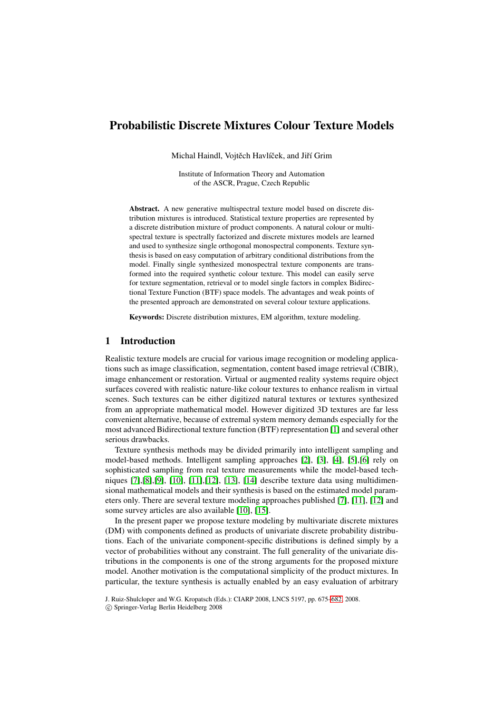# **Probabilistic Discrete Mixtures Colour Texture Models**

Michal Haindl, Vojtěch Havlíček, and Jiří Grim

Institute of Information Theory and Automation of the ASCR, Prague, Czech Republic

**Abstract.** A new generative multispectral texture model based on discrete distribution mixtures is introduced. Statistical texture properties are represented by a discrete distribution mixture of product components. A natural colour or multispectral texture is spectrally factorized and discrete mixtures models are learned and used to synthesize single orthogonal monospectral components. Texture synthesis is based on easy computation of arbitrary conditional distributions from the model. Finally single synthesized monospectral texture components are transformed into the required synthetic colour texture. This model can easily serve for texture segmentation, retrieval or to model single factors in complex Bidirectional Texture Function (BTF) space models. The advantages and weak points of the presented approach are demonstrated on several colour texture applications.

**Keywords:** Discrete distribution mixtures, EM algorithm, texture modeling.

#### **1 Introduction**

Realistic texture models are crucial for various image recognition or modeling applications such as image classification, segmentation, content based image retrieval (CBIR), image enhancement or restoration. Virtual or augmented reality systems require object surfaces covered with realistic nature-like colour textures to enhance realism in virtual scenes. Such textures can be either digitized natural textures or textures synthesized from an appropriate mathematical model. However digitized 3D textures are far less convenient alternative, because of extremal system memory demands especially for the most advanced Bidirectional texture function (BTF) representation [\[1\]](#page-6-0) and several other serious drawbacks.

Texture synthesis methods may be divided primarily into intelligent sampling and model-based methods. Intelligent sampling approaches [\[2\]](#page-6-1), [\[3\]](#page-6-2), [\[4\]](#page-7-0), [\[5\]](#page-7-1),[\[6\]](#page-7-2) rely on sophisticated sampling from real texture measurements while the model-based techniques [\[7\]](#page-7-3),[\[8\]](#page-7-4),[\[9\]](#page-7-5), [\[10\]](#page-7-6), [\[11\]](#page-7-7),[\[12\]](#page-7-8), [\[13\]](#page-7-9), [\[14\]](#page-7-10) describe texture data using multidimensional mathematical models and their synthesis is based on the estimated model parameters only. There are several texture modeling approaches published [\[7\]](#page-7-3), [\[11\]](#page-7-7), [\[12\]](#page-7-8) and some survey articles are also available [\[10\]](#page-7-6), [\[15\]](#page-7-11).

In the present paper we propose texture modeling by multivariate discrete mixtures (DM) with components defined as products of univariate discrete probability distributions. Each of the univariate component-specific distributions is defined simply by a vector of probabilities without any constraint. The full generality of the univariate distributions in the components is one of the strong arguments for the proposed mixture model. Another motivation is the computational simplicity of the product mixtures. In particular, the texture synthesis is actually enabled by an easy evaluation of arbitrary

J. Ruiz-Shulcloper and W.G. Kropatsch (Eds.): CIARP 2008, LNCS 5197, pp. 675[–682,](#page-6-3) 2008.

<sup>-</sup>c Springer-Verlag Berlin Heidelberg 2008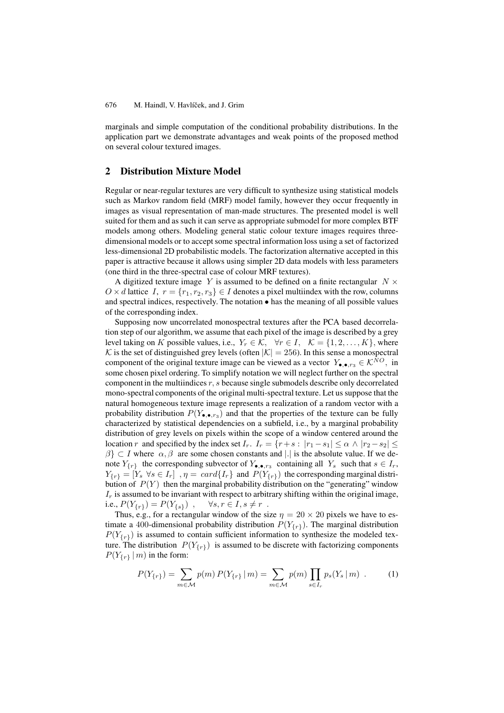marginals and simple computation of the conditional probability distributions. In the application part we demonstrate advantages and weak points of the proposed method on several colour textured images.

### **2 Distribution Mixture Model**

Regular or near-regular textures are very difficult to synthesize using statistical models such as Markov random field (MRF) model family, however they occur frequently in images as visual representation of man-made structures. The presented model is well suited for them and as such it can serve as appropriate submodel for more complex BTF models among others. Modeling general static colour texture images requires threedimensional models or to accept some spectral information loss using a set of factorized less-dimensional 2D probabilistic models. The factorization alternative accepted in this paper is attractive because it allows using simpler 2D data models with less parameters (one third in the three-spectral case of colour MRF textures).

A digitized texture image Y is assumed to be defined on a finite rectangular  $N \times$  $O \times d$  lattice I,  $r = \{r_1, r_2, r_3\} \in I$  denotes a pixel multiindex with the row, columns and spectral indices, respectively. The notation • has the meaning of all possible values of the corresponding index.

Supposing now uncorrelated monospectral textures after the PCA based decorrelation step of our algorithm, we assume that each pixel of the image is described by a grey level taking on K possible values, i.e.,  $Y_r \in \mathcal{K}$ ,  $\forall r \in I$ ,  $\mathcal{K} = \{1, 2, ..., K\}$ , where K is the set of distinguished grey levels (often  $|K| = 256$ ). In this sense a monospectral component of the original texture image can be viewed as a vector  $Y_{\bullet,\bullet,r_3} \in \mathcal{K}^{NO}$ , in some chosen pixel ordering. To simplify notation we will neglect further on the spectral component in the multiindices  $r$ , s because single submodels describe only decorrelated mono-spectral components of the original multi-spectral texture. Let us suppose that the natural homogeneous texture image represents a realization of a random vector with a probability distribution  $P(Y_{\bullet,\bullet,r_3})$  and that the properties of the texture can be fully characterized by statistical dependencies on a subfield, i.e., by a marginal probability distribution of grey levels on pixels within the scope of a window centered around the location r and specified by the index set  $I_r$ .  $I_r = \{r+s : |r_1-s_1| \leq \alpha \wedge |r_2-s_2| \leq$  $\{\beta\} \subset I$  where  $\alpha, \beta$  are some chosen constants and |. is the absolute value. If we denote  $Y_{\{r\}}$  the corresponding subvector of  $Y_{\bullet,\bullet,r_3}$  containing all  $Y_s$  such that  $s \in I_r$ ,  $Y_{\{r\}} = [Y_s \ \forall s \in I_r]$ ,  $\eta = \text{card}\{I_r\}$  and  $P(Y_{\{r\}})$  the corresponding marginal distribution of  $P(Y)$  then the marginal probability distribution on the "generating" window  $I_r$  is assumed to be invariant with respect to arbitrary shifting within the original image, i.e.,  $P(Y_{\{r\}}) = P(Y_{\{s\}})$ ,  $\forall s, r \in I, s \neq r$ .

Thus, e.g., for a rectangular window of the size  $\eta = 20 \times 20$  pixels we have to estimate a 400-dimensional probability distribution  $P(Y_{\{r\}})$ . The marginal distribution  $P(Y_{\{r\}})$  is assumed to contain sufficient information to synthesize the modeled texture. The distribution  $P(Y_{\{r\}})$  is assumed to be discrete with factorizing components  $P(Y_{\{r\}} | m)$  in the form:

<span id="page-1-0"></span>
$$
P(Y_{\{r\}}) = \sum_{m \in \mathcal{M}} p(m) P(Y_{\{r\}} | m) = \sum_{m \in \mathcal{M}} p(m) \prod_{s \in I_r} p_s(Y_s | m) . \tag{1}
$$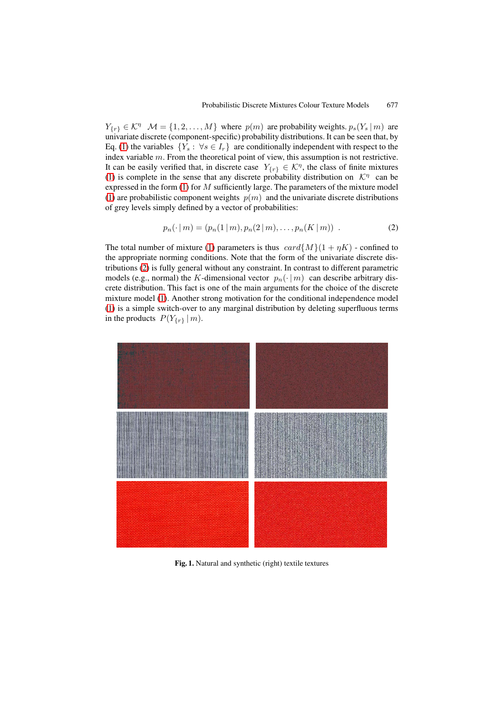$Y_{\{r\}} \in \mathcal{K}^{\eta}$   $\mathcal{M} = \{1, 2, ..., M\}$  where  $p(m)$  are probability weights.  $p_s(Y_s | m)$  are univariate discrete (component-specific) probability distributions. It can be seen that, by Eq. [\(1\)](#page-1-0) the variables  $\{Y_s : \forall s \in I_r\}$  are conditionally independent with respect to the index variable m. From the theoretical point of view, this assumption is not restrictive. It can be easily verified that, in discrete case  $Y_{\{r\}} \in \mathcal{K}^{\eta}$ , the class of finite mixtures [\(1\)](#page-1-0) is complete in the sense that any discrete probability distribution on  $K^{\eta}$  can be expressed in the form  $(1)$  for M sufficiently large. The parameters of the mixture model [\(1\)](#page-1-0) are probabilistic component weights  $p(m)$  and the univariate discrete distributions of grey levels simply defined by a vector of probabilities:

$$
p_n(\cdot | m) = (p_n(1 | m), p_n(2 | m), \dots, p_n(K | m)) \tag{2}
$$

<span id="page-2-0"></span>The total number of mixture [\(1\)](#page-1-0) parameters is thus  $card{M}(1 + \eta K)$  - confined to the appropriate norming conditions. Note that the form of the univariate discrete distributions [\(2\)](#page-2-0) is fully general without any constraint. In contrast to different parametric models (e.g., normal) the K-dimensional vector  $p_n(\cdot | m)$  can describe arbitrary discrete distribution. This fact is one of the main arguments for the choice of the discrete mixture model [\(1\)](#page-1-0). Another strong motivation for the conditional independence model [\(1\)](#page-1-0) is a simple switch-over to any marginal distribution by deleting superfluous terms in the products  $P(Y_{\{r\}} | m)$ .



<span id="page-2-1"></span>Fig. 1. Natural and synthetic (right) textile textures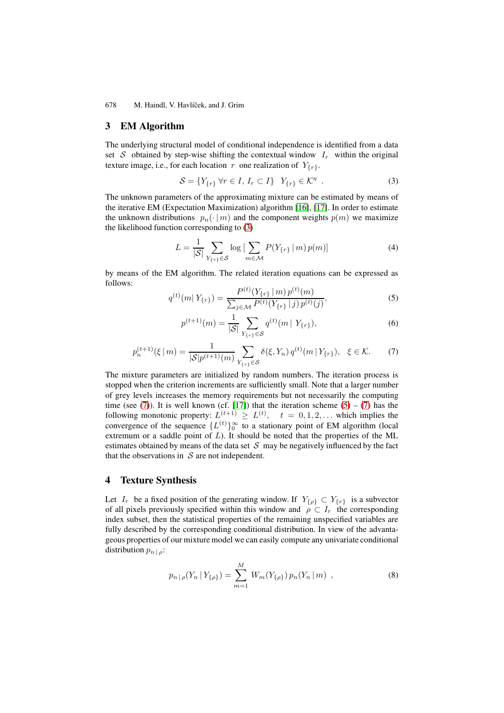678 M. Haindl, V. Havlíček, and J. Grim

### **3 EM Algorithm**

The underlying structural model of conditional independence is identified from a data set S obtained by step-wise shifting the contextual window  $I_r$  within the original texture image, i.e., for each location r one realization of  $Y_{r}$ .

$$
\mathcal{S} = \{ Y_{\{r\}} \,\forall r \in I, I_r \subset I \} \quad Y_{\{r\}} \in \mathcal{K}^{\eta} \tag{3}
$$

<span id="page-3-0"></span>The unknown parameters of the approximating mixture can be estimated by means of the iterative EM (Expectation Maximization) algorithm [\[16\]](#page-7-12), [\[17\]](#page-7-13). In order to estimate the unknown distributions  $p_n(\cdot | m)$  and the component weights  $p(m)$  we maximize the likelihood function corresponding to [\(3\)](#page-3-0)

$$
L = \frac{1}{|\mathcal{S}|} \sum_{Y_{\{r\}} \in \mathcal{S}} \log \left[ \sum_{m \in \mathcal{M}} P(Y_{\{r\}} \mid m) p(m) \right]
$$
(4)

<span id="page-3-2"></span>by means of the EM algorithm. The related iteration equations can be expressed as follows:

$$
q^{(t)}(m|Y_{\{r\}}) = \frac{P^{(t)}(Y_{\{r\}}|m) \, p^{(t)}(m)}{\sum_{j \in \mathcal{M}} P^{(t)}(Y_{\{r\}}|j) \, p^{(t)}(j)},\tag{5}
$$

$$
p^{(t+1)}(m) = \frac{1}{|\mathcal{S}|} \sum_{Y_{\{r\}} \in \mathcal{S}} q^{(t)}(m \mid Y_{\{r\}}),\tag{6}
$$

$$
p_n^{(t+1)}(\xi \mid m) = \frac{1}{|\mathcal{S}| p^{(t+1)}(m)} \sum_{Y_{\{\tau\}} \in \mathcal{S}} \delta(\xi, Y_n) q^{(t)}(m \mid Y_{\{\tau\}}), \quad \xi \in \mathcal{K}.
$$
 (7)

<span id="page-3-1"></span>The mixture parameters are initialized by random numbers. The iteration process is stopped when the criterion increments are sufficiently small. Note that a larger number of grey levels increases the memory requirements but not necessarily the computing time (see [\(7\)](#page-3-1)). It is well known (cf. [\[17\]](#page-7-13)) that the iteration scheme  $(5) - (7)$  $(5) - (7)$  has the following monotonic property:  $L^{(t+1)} \ge L^{(t)}$ ,  $t = 0, 1, 2, ...$  which implies the convergence of the sequence  $\{L^{(t)}\}_0^{\infty}$  to a stationary point of EM algorithm (local extremum or a saddle point of  $L$ ). It should be noted that the properties of the ML estimates obtained by means of the data set  $S$  may be negatively influenced by the fact that the observations in  $S$  are not independent.

### **4 Texture Synthesis**

Let  $I_r$  be a fixed position of the generating window. If  $Y_{\{\rho\}} \subset Y_{\{r\}}$  is a subvector of all pixels previously specified within this window and  $\rho \subset I_r$  the corresponding index subset, then the statistical properties of the remaining unspecified variables are fully described by the corresponding conditional distribution. In view of the advantageous properties of our mixture model we can easily compute any univariate conditional distribution  $p_{n \,|\,\rho}$ :

<span id="page-3-3"></span>
$$
p_{n|\rho}(Y_n | Y_{\{\rho\}}) = \sum_{m=1}^{M} W_m(Y_{\{\rho\}}) p_n(Y_n | m) , \qquad (8)
$$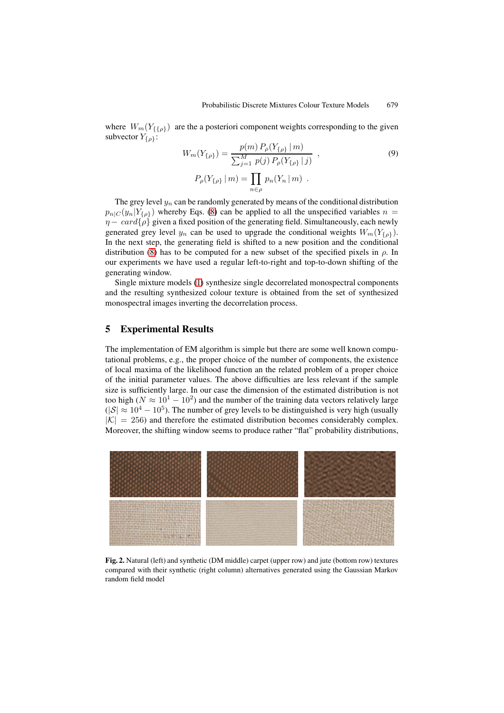where  $W_m(Y_{\{f\rho\}})$  are the a posteriori component weights corresponding to the given subvector  $Y_{\{\rho\}}$ :

$$
W_m(Y_{\{\rho\}}) = \frac{p(m) P_{\rho}(Y_{\{\rho\}} | m)}{\sum_{j=1}^M p(j) P_{\rho}(Y_{\{\rho\}} | j)},
$$
  
\n
$$
P_{\rho}(Y_{\{\rho\}} | m) = \prod_{n \in \rho} p_n(Y_n | m).
$$
\n(9)

The grey level  $y_n$  can be randomly generated by means of the conditional distribution  $p_{nlC}(y_n|Y_{\{\rho\}})$  whereby Eqs. [\(8\)](#page-3-3) can be applied to all the unspecified variables  $n =$  $\eta - \text{card}\{\rho\}$  given a fixed position of the generating field. Simultaneously, each newly generated grey level  $y_n$  can be used to upgrade the conditional weights  $W_m(Y_{\{\rho\}})$ . In the next step, the generating field is shifted to a new position and the conditional distribution [\(8\)](#page-3-3) has to be computed for a new subset of the specified pixels in  $\rho$ . In our experiments we have used a regular left-to-right and top-to-down shifting of the generating window.

Single mixture models [\(1\)](#page-1-0) synthesize single decorrelated monospectral components and the resulting synthesized colour texture is obtained from the set of synthesized monospectral images inverting the decorrelation process.

## **5 Experimental Results**

The implementation of EM algorithm is simple but there are some well known computational problems, e.g., the proper choice of the number of components, the existence of local maxima of the likelihood function an the related problem of a proper choice of the initial parameter values. The above difficulties are less relevant if the sample size is sufficiently large. In our case the dimension of the estimated distribution is not too high ( $N \approx 10^{1} - 10^{2}$ ) and the number of the training data vectors relatively large  $(|S| \approx 10^4 - 10^5)$ . The number of grey levels to be distinguished is very high (usually  $|K| = 256$ ) and therefore the estimated distribution becomes considerably complex. Moreover, the shifting window seems to produce rather "flat" probability distributions,



<span id="page-4-0"></span>**Fig. 2.** Natural (left) and synthetic (DM middle) carpet (upper row) and jute (bottom row) textures compared with their synthetic (right column) alternatives generated using the Gaussian Markov random field model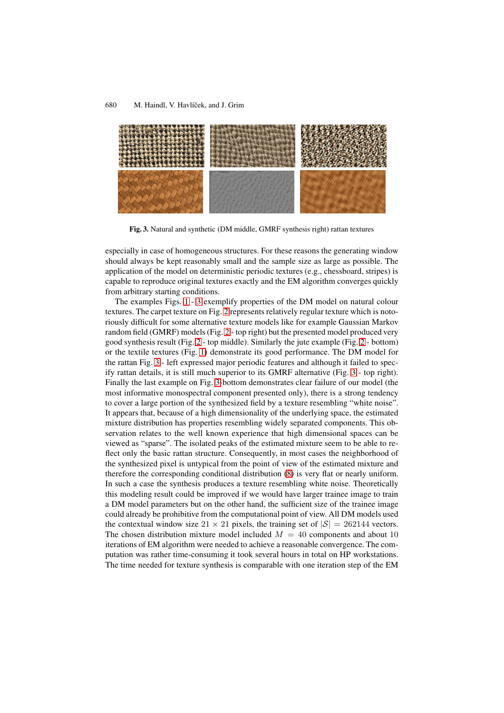

**Fig. 3.** Natural and synthetic (DM middle, GMRF synthesis right) rattan textures

<span id="page-5-0"></span>especially in case of homogeneous structures. For these reasons the generating window should always be kept reasonably small and the sample size as large as possible. The application of the model on deterministic periodic textures (e.g., chessboard, stripes) is capable to reproduce original textures exactly and the EM algorithm converges quickly from arbitrary starting conditions.

The examples Figs. [1](#page-2-1) - [3](#page-5-0) exemplify properties of the DM model on natural colour textures. The carpet texture on Fig. [2](#page-4-0) represents relatively regular texture which is notoriously difficult for some alternative texture models like for example Gaussian Markov random field (GMRF) models (Fig. [2](#page-4-0) - top right) but the presented model produced very good synthesis result (Fig. [2](#page-4-0) - top middle). Similarly the jute example (Fig. [2](#page-4-0) - bottom) or the textile textures (Fig. [1\)](#page-2-1) demonstrate its good performance. The DM model for the rattan Fig. [3](#page-5-0) - left expressed major periodic features and although it failed to specify rattan details, it is still much superior to its GMRF alternative (Fig. [3](#page-5-0) - top right). Finally the last example on Fig. [3-](#page-5-0)bottom demonstrates clear failure of our model (the most informative monospectral component presented only), there is a strong tendency to cover a large portion of the synthesized field by a texture resembling "white noise". It appears that, because of a high dimensionality of the underlying space, the estimated mixture distribution has properties resembling widely separated components. This observation relates to the well known experience that high dimensional spaces can be viewed as "sparse". The isolated peaks of the estimated mixture seem to be able to reflect only the basic rattan structure. Consequently, in most cases the neighborhood of the synthesized pixel is untypical from the point of view of the estimated mixture and therefore the corresponding conditional distribution [\(8\)](#page-3-3) is very flat or nearly uniform. In such a case the synthesis produces a texture resembling white noise. Theoretically this modeling result could be improved if we would have larger trainee image to train a DM model parameters but on the other hand, the sufficient size of the trainee image could already be prohibitive from the computational point of view. All DM models used the contextual window size  $21 \times 21$  pixels, the training set of  $|\mathcal{S}| = 262144$  vectors. The chosen distribution mixture model included  $M = 40$  components and about 10 iterations of EM algorithm were needed to achieve a reasonable convergence. The computation was rather time-consuming it took several hours in total on HP workstations. The time needed for texture synthesis is comparable with one iteration step of the EM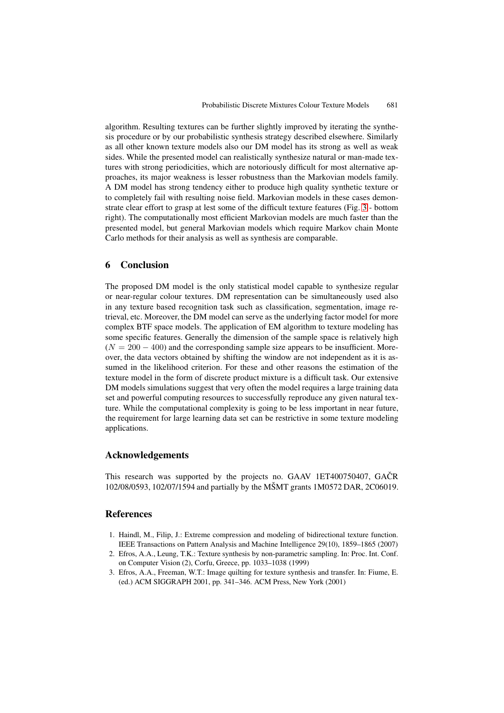algorithm. Resulting textures can be further slightly improved by iterating the synthesis procedure or by our probabilistic synthesis strategy described elsewhere. Similarly as all other known texture models also our DM model has its strong as well as weak sides. While the presented model can realistically synthesize natural or man-made textures with strong periodicities, which are notoriously difficult for most alternative approaches, its major weakness is lesser robustness than the Markovian models family. A DM model has strong tendency either to produce high quality synthetic texture or to completely fail with resulting noise field. Markovian models in these cases demonstrate clear effort to grasp at lest some of the difficult texture features (Fig. [3](#page-5-0) - bottom right). The computationally most efficient Markovian models are much faster than the presented model, but general Markovian models which require Markov chain Monte Carlo methods for their analysis as well as synthesis are comparable.

#### **6 Conclusion**

The proposed DM model is the only statistical model capable to synthesize regular or near-regular colour textures. DM representation can be simultaneously used also in any texture based recognition task such as classification, segmentation, image retrieval, etc. Moreover, the DM model can serve as the underlying factor model for more complex BTF space models. The application of EM algorithm to texture modeling has some specific features. Generally the dimension of the sample space is relatively high  $(N = 200 - 400)$  and the corresponding sample size appears to be insufficient. Moreover, the data vectors obtained by shifting the window are not independent as it is assumed in the likelihood criterion. For these and other reasons the estimation of the texture model in the form of discrete product mixture is a difficult task. Our extensive DM models simulations suggest that very often the model requires a large training data set and powerful computing resources to successfully reproduce any given natural texture. While the computational complexity is going to be less important in near future, the requirement for large learning data set can be restrictive in some texture modeling applications.

#### **Acknowledgements**

This research was supported by the projects no. GAAV 1ET400750407, GACR  $102/08/0593$ ,  $102/07/1594$  and partially by the MSMT grants  $1M0572$  DAR,  $2C06019$ .

### <span id="page-6-3"></span><span id="page-6-0"></span>**References**

- 1. Haindl, M., Filip, J.: Extreme compression and modeling of bidirectional texture function. IEEE Transactions on Pattern Analysis and Machine Intelligence 29(10), 1859–1865 (2007)
- <span id="page-6-1"></span>2. Efros, A.A., Leung, T.K.: Texture synthesis by non-parametric sampling. In: Proc. Int. Conf. on Computer Vision (2), Corfu, Greece, pp. 1033–1038 (1999)
- <span id="page-6-2"></span>3. Efros, A.A., Freeman, W.T.: Image quilting for texture synthesis and transfer. In: Fiume, E. (ed.) ACM SIGGRAPH 2001, pp. 341–346. ACM Press, New York (2001)